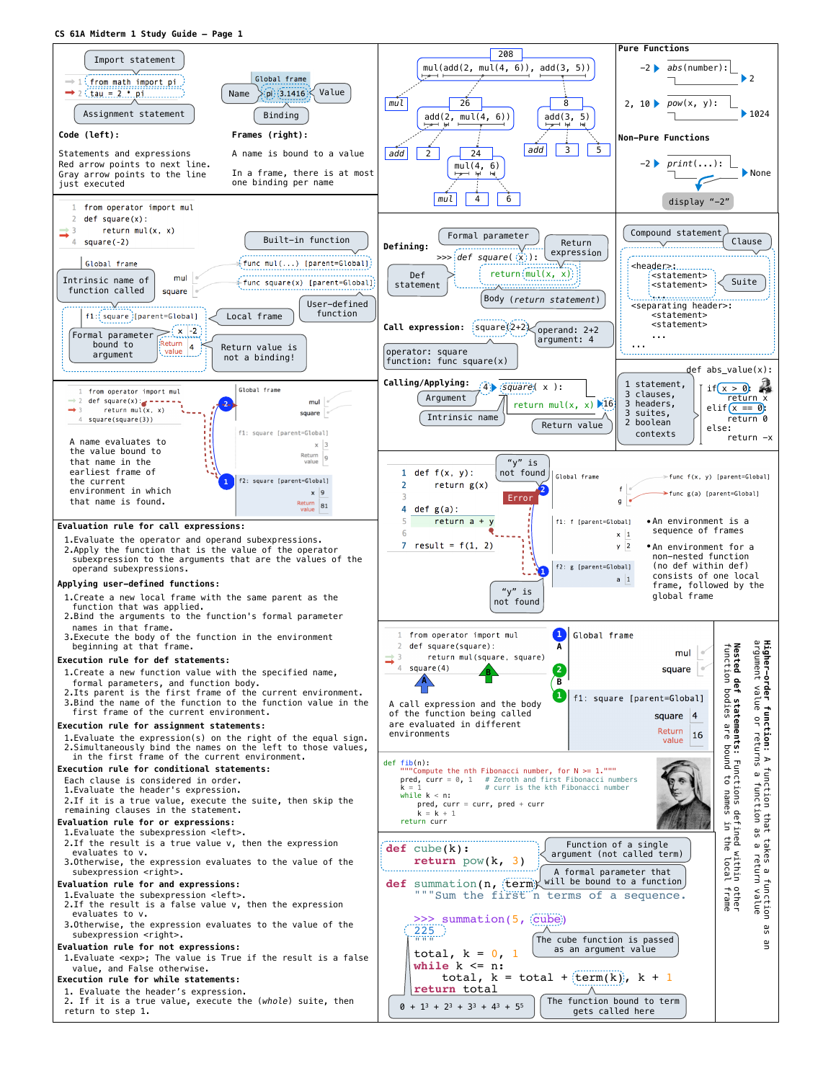